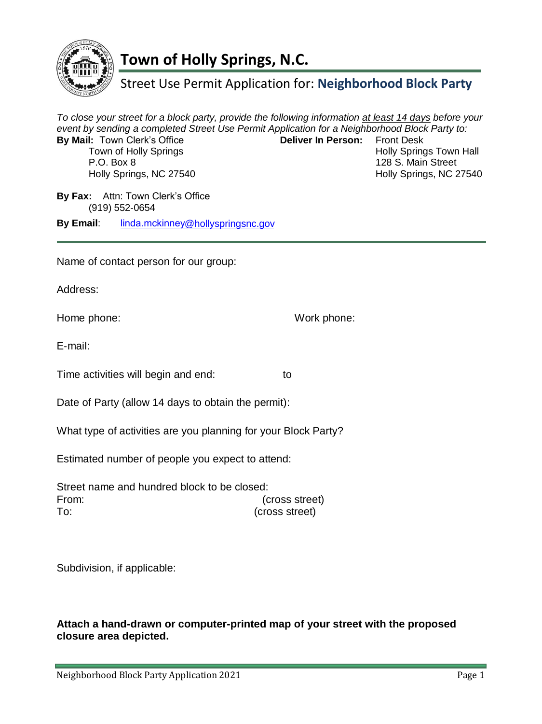

# **Town of Holly Springs, N.C.**

### Street Use Permit Application for: **Neighborhood Block Party**

*To close your street for a block party, provide the following information at least 14 days before your event by sending a completed Street Use Permit Application for a Neighborhood Block Party to:*  **By Mail:** Town Clerk's Office **Deliver In Person:** Front Desk Town of Holly Springs Town Hall P.O. Box 8 128 S. Main Street Holly Springs, NC 27540 Holly Springs, NC 27540 **By Fax:** Attn: Town Clerk's Office (919) 552‐0654 **By Email**: linda.mckinney@hollyspringsnc.gov Name of contact person for our group: Address: Home phone: Work phone: E‐mail: Time activities will begin and end: to

Date of Party (allow 14 days to obtain the permit):

What type of activities are you planning for your Block Party?

Estimated number of people you expect to attend:

Street name and hundred block to be closed: From: (cross street) To: (cross street)

Subdivision, if applicable:

#### **Attach a hand-drawn or computer-printed map of your street with the proposed closure area depicted.**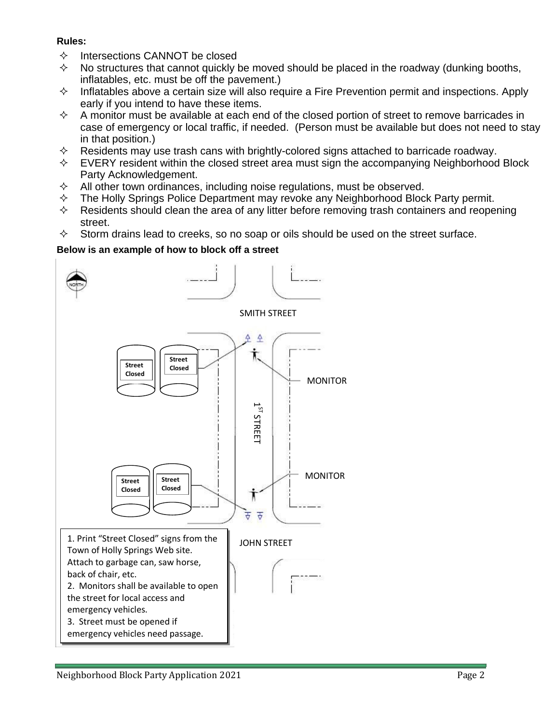#### **Rules:**

- $\Diamond$  Intersections CANNOT be closed
- $\diamond$  No structures that cannot quickly be moved should be placed in the roadway (dunking booths, inflatables, etc. must be off the pavement.)
- $\Diamond$  Inflatables above a certain size will also require a Fire Prevention permit and inspections. Apply early if you intend to have these items.
- $\diamond$  A monitor must be available at each end of the closed portion of street to remove barricades in case of emergency or local traffic, if needed. (Person must be available but does not need to stay in that position.)
- $\diamond$  Residents may use trash cans with brightly-colored signs attached to barricade roadway.
- EVERY resident within the closed street area must sign the accompanying Neighborhood Block Party Acknowledgement.
- All other town ordinances, including noise regulations, must be observed.
- $\Diamond$  The Holly Springs Police Department may revoke any Neighborhood Block Party permit.
- $\diamond$  Residents should clean the area of any litter before removing trash containers and reopening street.
- $\diamond$  Storm drains lead to creeks, so no soap or oils should be used on the street surface.

### **Below is an example of how to block off a street**